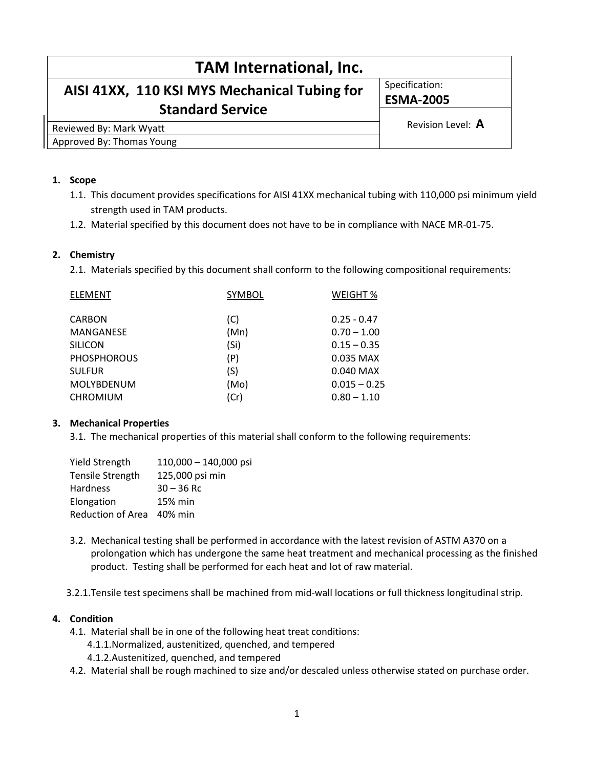| <b>TAM International, Inc.</b>               |                   |  |
|----------------------------------------------|-------------------|--|
| AISI 41XX, 110 KSI MYS Mechanical Tubing for | Specification:    |  |
|                                              | <b>ESMA-2005</b>  |  |
| <b>Standard Service</b>                      | Revision Level: A |  |
| Reviewed By: Mark Wyatt                      |                   |  |
| Approved By: Thomas Young                    |                   |  |

#### 1. Scope

- 1.1. This document provides specifications for AISI 41XX mechanical tubing with 110,000 psi minimum yield strength used in TAM products.
- 1.2. Material specified by this document does not have to be in compliance with NACE MR-01-75.

### 2. Chemistry

2.1. Materials specified by this document shall conform to the following compositional requirements:

| <b>SYMBOL</b> | WEIGHT %       |
|---------------|----------------|
| (C)           | $0.25 - 0.47$  |
| (Mn)          | $0.70 - 1.00$  |
| (Si)          | $0.15 - 0.35$  |
| (P)           | 0.035 MAX      |
| (S)           | $0.040$ MAX    |
| (Mo)          | $0.015 - 0.25$ |
| (Cr)          | $0.80 - 1.10$  |
|               |                |

# 3. Mechanical Properties

3.1. The mechanical properties of this material shall conform to the following requirements:

| <b>Yield Strength</b>     | $110,000 - 140,000$ psi |
|---------------------------|-------------------------|
| <b>Tensile Strength</b>   | 125,000 psi min         |
| Hardness                  | $30 - 36$ Rc            |
| Elongation                | 15% min                 |
| Reduction of Area 40% min |                         |

3.2. Mechanical testing shall be performed in accordance with the latest revision of ASTM A370 on a prolongation which has undergone the same heat treatment and mechanical processing as the finished product. Testing shall be performed for each heat and lot of raw material.

3.2.1.Tensile test specimens shall be machined from mid-wall locations or full thickness longitudinal strip.

#### 4. Condition

- 4.1. Material shall be in one of the following heat treat conditions:
	- 4.1.1.Normalized, austenitized, quenched, and tempered
	- 4.1.2.Austenitized, quenched, and tempered
- 4.2. Material shall be rough machined to size and/or descaled unless otherwise stated on purchase order.